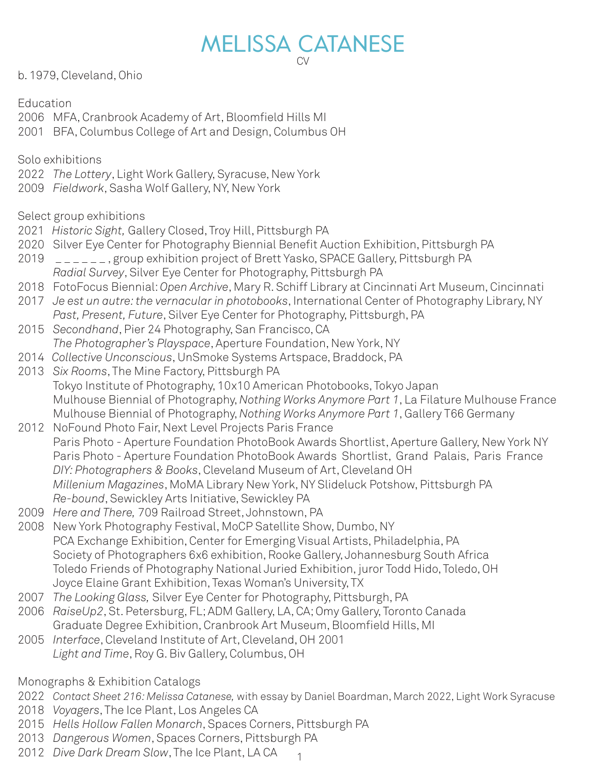# MELISSA CATANESE CV

b. 1979, Cleveland, Ohio

**Education** 

2006 MFA, Cranbrook Academy of Art, Bloomfield Hills MI

2001 BFA, Columbus College of Art and Design, Columbus OH

Solo exhibitions

- 2022 *The Lottery*, Light Work Gallery, Syracuse, New York
- 2009 *Fieldwork*, Sasha Wolf Gallery, NY, New York

Select group exhibitions

- 2021 *Historic Sight,* Gallery Closed, Troy Hill, Pittsburgh PA
- 2020 Silver Eye Center for Photography Biennial Benefit Auction Exhibition, Pittsburgh PA
- 2019  $\Box$   $\Box$   $\Box$   $\Box$ , group exhibition project of Brett Yasko, SPACE Gallery, Pittsburgh PA
- *Radial Survey*, Silver Eye Center for Photography, Pittsburgh PA
- 2018 FotoFocus Biennial: *Open Archive*, Mary R. Schiff Library at Cincinnati Art Museum, Cincinnati
- 2017 *Je est un autre: the vernacular in photobooks*, International Center of Photography Library, NY *Past, Present, Future*, Silver Eye Center for Photography, Pittsburgh, PA
- 2015 *Secondhand*, Pier 24 Photography, San Francisco, CA *The Photographer's Playspace*, Aperture Foundation, New York, NY
- 2014 *Collective Unconscious*, UnSmoke Systems Artspace, Braddock, PA
- 2013 *Six Rooms*, The Mine Factory, Pittsburgh PA Tokyo Institute of Photography, 10x10 American Photobooks, Tokyo Japan Mulhouse Biennial of Photography, *Nothing Works Anymore Part 1*, La Filature Mulhouse France Mulhouse Biennial of Photography, *Nothing Works Anymore Part 1*, Gallery T66 Germany
- 2012 NoFound Photo Fair, Next Level Projects Paris France Paris Photo - Aperture Foundation PhotoBook Awards Shortlist, Aperture Gallery, New York NY Paris Photo - Aperture Foundation PhotoBook Awards Shortlist, Grand Palais, Paris France *DIY: Photographers & Books*, Cleveland Museum of Art, Cleveland OH *Millenium Magazines*, MoMA Library New York, NY Slideluck Potshow, Pittsburgh PA *Re-bound*, Sewickley Arts Initiative, Sewickley PA
- 2009 *Here and There,* 709 Railroad Street, Johnstown, PA
- 2008 New York Photography Festival, MoCP Satellite Show, Dumbo, NY PCA Exchange Exhibition, Center for Emerging Visual Artists, Philadelphia, PA Society of Photographers 6x6 exhibition, Rooke Gallery, Johannesburg South Africa Toledo Friends of Photography National Juried Exhibition, juror Todd Hido, Toledo, OH Joyce Elaine Grant Exhibition, Texas Woman's University, TX
- 2007 *The Looking Glass,* Silver Eye Center for Photography, Pittsburgh, PA
- 2006 *RaiseUp2*, St. Petersburg, FL; ADM Gallery, LA, CA; Omy Gallery, Toronto Canada Graduate Degree Exhibition, Cranbrook Art Museum, Bloomfield Hills, MI
- 2005 *Interface*, Cleveland Institute of Art, Cleveland, OH 2001 *Light and Time*, Roy G. Biv Gallery, Columbus, OH

Monographs & Exhibition Catalogs

- 2022 *Contact Sheet 216: Melissa Catanese,* with essay by Daniel Boardman, March 2022, Light Work Syracuse
- 2018 *Voyagers*, The Ice Plant, Los Angeles CA
- 2015 *Hells Hollow Fallen Monarch*, Spaces Corners, Pittsburgh PA
- 2013 *Dangerous Women*, Spaces Corners, Pittsburgh PA
- 2012 *Dive Dark Dream Slow*, The Ice Plant, LA CA 1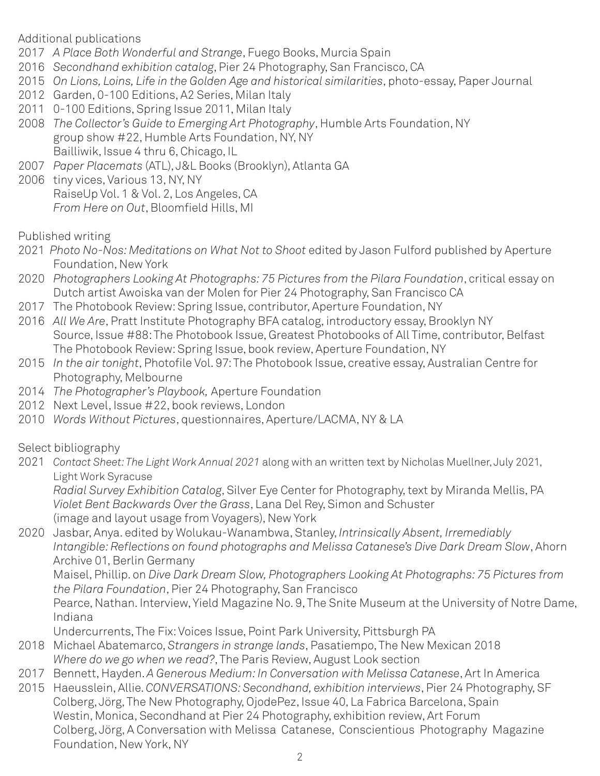Additional publications

- 2017 *A Place Both Wonderful and Strange*, Fuego Books, Murcia Spain
- 2016 *Secondhand exhibition catalog*, Pier 24 Photography, San Francisco, CA
- 2015 *On Lions, Loins, Life in the Golden Age and historical similarities*, photo-essay, Paper Journal
- 2012 Garden, 0-100 Editions, A2 Series, Milan Italy
- 2011 0-100 Editions, Spring Issue 2011, Milan Italy
- 2008 *The Collector's Guide to Emerging Art Photography*, Humble Arts Foundation, NY group show #22, Humble Arts Foundation, NY, NY Bailliwik, Issue 4 thru 6, Chicago, IL
- 2007 *Paper Placemats* (ATL), J&L Books (Brooklyn), Atlanta GA
- 2006 tiny vices, Various 13, NY, NY RaiseUp Vol. 1 & Vol. 2, Los Angeles, CA *From Here on Out*, Bloomfield Hills, MI

Published writing

- 2021 *Photo No-Nos: Meditations on What Not to Shoot* edited by Jason Fulford published by Aperture Foundation, New York
- 2020 *Photographers Looking At Photographs: 75 Pictures from the Pilara Foundation*, critical essay on Dutch artist Awoiska van der Molen for Pier 24 Photography, San Francisco CA
- 2017 The Photobook Review: Spring Issue, contributor, Aperture Foundation, NY
- 2016 *All We Are*, Pratt Institute Photography BFA catalog, introductory essay, Brooklyn NY Source, Issue #88: The Photobook Issue, Greatest Photobooks of All Time, contributor, Belfast The Photobook Review: Spring Issue, book review, Aperture Foundation, NY
- 2015 *In the air tonight*, Photofile Vol. 97: The Photobook Issue, creative essay, Australian Centre for Photography, Melbourne
- 2014 *The Photographer's Playbook,* Aperture Foundation
- 2012 Next Level, Issue #22, book reviews, London
- 2010 *Words Without Pictures*, questionnaires, Aperture/LACMA, NY & LA

Select bibliography

2021 *Contact Sheet: The Light Work Annual 2021* along with an written text by Nicholas Muellner, July 2021, Light Work Syracuse

*Radial Survey Exhibition Catalog*, Silver Eye Center for Photography, text by Miranda Mellis, PA *Violet Bent Backwards Over the Grass*, Lana Del Rey, Simon and Schuster (image and layout usage from Voyagers), New York

2020 Jasbar, Anya. edited by Wolukau-Wanambwa, Stanley, *Intrinsically Absent, Irremediably Intangible: Reflections on found photographs and Melissa Catanese's Dive Dark Dream Slow*, Ahorn Archive 01, Berlin Germany

Maisel, Phillip. on *Dive Dark Dream Slow, Photographers Looking At Photographs: 75 Pictures from the Pilara Foundation*, Pier 24 Photography, San Francisco

Pearce, Nathan. Interview, Yield Magazine No. 9, The Snite Museum at the University of Notre Dame, Indiana

Undercurrents, The Fix: Voices Issue, Point Park University, Pittsburgh PA

- 2018 Michael Abatemarco, *Strangers in strange lands*, Pasatiempo, The New Mexican 2018 *Where do we go when we read?*, The Paris Review, August Look section
- 2017 Bennett, Hayden. *A Generous Medium: In Conversation with Melissa Catanese*, Art In America
- 2015 Haeusslein, Allie. *CONVERSATIONS: Secondhand, exhibition interviews*, Pier 24 Photography, SF Colberg, Jörg, The New Photography, OjodePez, Issue 40, La Fabrica Barcelona, Spain Westin, Monica, Secondhand at Pier 24 Photography, exhibition review, Art Forum Colberg, Jörg, A Conversation with Melissa Catanese, Conscientious Photography Magazine Foundation, New York, NY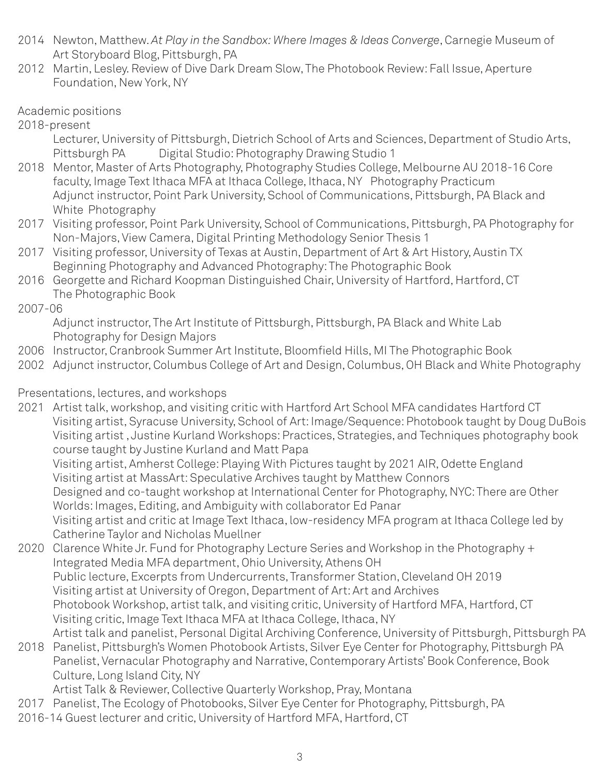- 2014 Newton, Matthew. *At Play in the Sandbox: Where Images & Ideas Converge*, Carnegie Museum of Art Storyboard Blog, Pittsburgh, PA
- 2012 Martin, Lesley. Review of Dive Dark Dream Slow, The Photobook Review: Fall Issue, Aperture Foundation, New York, NY
- Academic positions
- 2018-present
	- Lecturer, University of Pittsburgh, Dietrich School of Arts and Sciences, Department of Studio Arts, Pittsburgh PA Digital Studio: Photography Drawing Studio 1
- 2018 Mentor, Master of Arts Photography, Photography Studies College, Melbourne AU 2018-16 Core faculty, Image Text Ithaca MFA at Ithaca College, Ithaca, NY Photography Practicum Adjunct instructor, Point Park University, School of Communications, Pittsburgh, PA Black and White Photography
- 2017 Visiting professor, Point Park University, School of Communications, Pittsburgh, PA Photography for Non-Majors, View Camera, Digital Printing Methodology Senior Thesis 1
- 2017 Visiting professor, University of Texas at Austin, Department of Art & Art History, Austin TX Beginning Photography and Advanced Photography: The Photographic Book
- 2016 Georgette and Richard Koopman Distinguished Chair, University of Hartford, Hartford, CT The Photographic Book
- 2007-06

Adjunct instructor, The Art Institute of Pittsburgh, Pittsburgh, PA Black and White Lab Photography for Design Majors

- 2006 Instructor, Cranbrook Summer Art Institute, Bloomfield Hills, MI The Photographic Book
- 2002 Adjunct instructor, Columbus College of Art and Design, Columbus, OH Black and White Photography

## Presentations, lectures, and workshops

- 2021 Artist talk, workshop, and visiting critic with Hartford Art School MFA candidates Hartford CT Visiting artist, Syracuse University, School of Art: Image/Sequence: Photobook taught by Doug DuBois Visiting artist , Justine Kurland Workshops: Practices, Strategies, and Techniques photography book course taught by Justine Kurland and Matt Papa Visiting artist, Amherst College: Playing With Pictures taught by 2021 AIR, Odette England Visiting artist at MassArt: Speculative Archives taught by Matthew Connors Designed and co-taught workshop at International Center for Photography, NYC: There are Other Worlds: Images, Editing, and Ambiguity with collaborator Ed Panar Visiting artist and critic at Image Text Ithaca, low-residency MFA program at Ithaca College led by Catherine Taylor and Nicholas Muellner
- 2020 Clarence White Jr. Fund for Photography Lecture Series and Workshop in the Photography + Integrated Media MFA department, Ohio University, Athens OH Public lecture, Excerpts from Undercurrents, Transformer Station, Cleveland OH 2019 Visiting artist at University of Oregon, Department of Art: Art and Archives Photobook Workshop, artist talk, and visiting critic, University of Hartford MFA, Hartford, CT Visiting critic, Image Text Ithaca MFA at Ithaca College, Ithaca, NY Artist talk and panelist, Personal Digital Archiving Conference, University of Pittsburgh, Pittsburgh PA
- 2018 Panelist, Pittsburgh's Women Photobook Artists, Silver Eye Center for Photography, Pittsburgh PA Panelist, Vernacular Photography and Narrative, Contemporary Artists' Book Conference, Book Culture, Long Island City, NY

Artist Talk & Reviewer, Collective Quarterly Workshop, Pray, Montana

- 2017 Panelist, The Ecology of Photobooks, Silver Eye Center for Photography, Pittsburgh, PA
- 2016-14 Guest lecturer and critic, University of Hartford MFA, Hartford, CT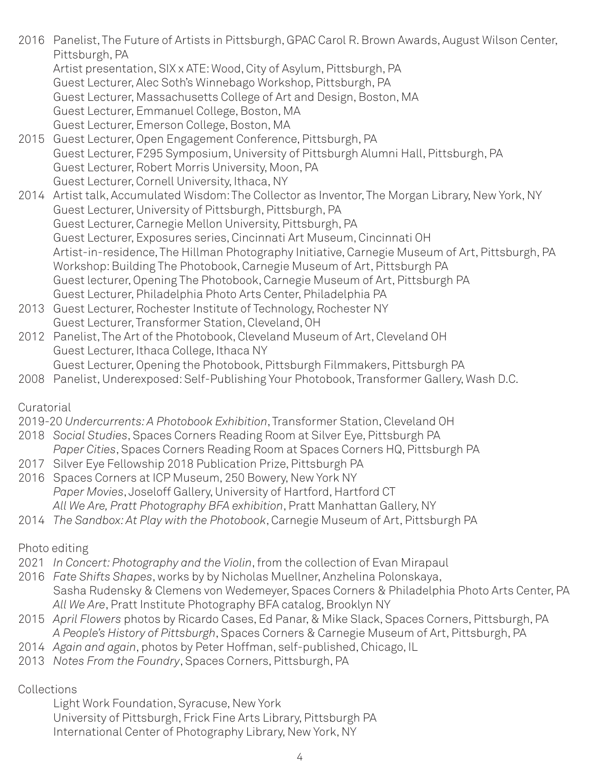- 2016 Panelist, The Future of Artists in Pittsburgh, GPAC Carol R. Brown Awards, August Wilson Center, Pittsburgh, PA
	- Artist presentation, SIX x ATE: Wood, City of Asylum, Pittsburgh, PA
	- Guest Lecturer, Alec Soth's Winnebago Workshop, Pittsburgh, PA
	- Guest Lecturer, Massachusetts College of Art and Design, Boston, MA
	- Guest Lecturer, Emmanuel College, Boston, MA
	- Guest Lecturer, Emerson College, Boston, MA
- 2015 Guest Lecturer, Open Engagement Conference, Pittsburgh, PA Guest Lecturer, F295 Symposium, University of Pittsburgh Alumni Hall, Pittsburgh, PA Guest Lecturer, Robert Morris University, Moon, PA Guest Lecturer, Cornell University, Ithaca, NY
- 2014 Artist talk, Accumulated Wisdom: The Collector as Inventor, The Morgan Library, New York, NY Guest Lecturer, University of Pittsburgh, Pittsburgh, PA Guest Lecturer, Carnegie Mellon University, Pittsburgh, PA Guest Lecturer, Exposures series, Cincinnati Art Museum, Cincinnati OH Artist-in-residence, The Hillman Photography Initiative, Carnegie Museum of Art, Pittsburgh, PA Workshop: Building The Photobook, Carnegie Museum of Art, Pittsburgh PA Guest lecturer, Opening The Photobook, Carnegie Museum of Art, Pittsburgh PA Guest Lecturer, Philadelphia Photo Arts Center, Philadelphia PA
- 2013 Guest Lecturer, Rochester Institute of Technology, Rochester NY Guest Lecturer, Transformer Station, Cleveland, OH
- 2012 Panelist, The Art of the Photobook, Cleveland Museum of Art, Cleveland OH Guest Lecturer, Ithaca College, Ithaca NY
- Guest Lecturer, Opening the Photobook, Pittsburgh Filmmakers, Pittsburgh PA
- 2008 Panelist, Underexposed: Self-Publishing Your Photobook, Transformer Gallery, Wash D.C.

## **Curatorial**

- 2019-20 *Undercurrents: A Photobook Exhibition*, Transformer Station, Cleveland OH
- 2018 *Social Studies*, Spaces Corners Reading Room at Silver Eye, Pittsburgh PA
- *Paper Cities*, Spaces Corners Reading Room at Spaces Corners HQ, Pittsburgh PA
- 2017 Silver Eye Fellowship 2018 Publication Prize, Pittsburgh PA
- 2016 Spaces Corners at ICP Museum, 250 Bowery, New York NY *Paper Movies*, Joseloff Gallery, University of Hartford, Hartford CT *All We Are, Pratt Photography BFA exhibition*, Pratt Manhattan Gallery, NY
- 2014 *The Sandbox: At Play with the Photobook*, Carnegie Museum of Art, Pittsburgh PA

## Photo editing

- 2021 *In Concert: Photography and the Violin*, from the collection of Evan Mirapaul
- 2016 *Fate Shifts Shapes*, works by by Nicholas Muellner, Anzhelina Polonskaya, Sasha Rudensky & Clemens von Wedemeyer, Spaces Corners & Philadelphia Photo Arts Center, PA *All We Are*, Pratt Institute Photography BFA catalog, Brooklyn NY
- 2015 *April Flowers* photos by Ricardo Cases, Ed Panar, & Mike Slack, Spaces Corners, Pittsburgh, PA *A People's History of Pittsburgh*, Spaces Corners & Carnegie Museum of Art, Pittsburgh, PA
- 2014 *Again and again*, photos by Peter Hoffman, self-published, Chicago, IL
- 2013 *Notes From the Foundry*, Spaces Corners, Pittsburgh, PA

#### Collections

Light Work Foundation, Syracuse, New York University of Pittsburgh, Frick Fine Arts Library, Pittsburgh PA International Center of Photography Library, New York, NY